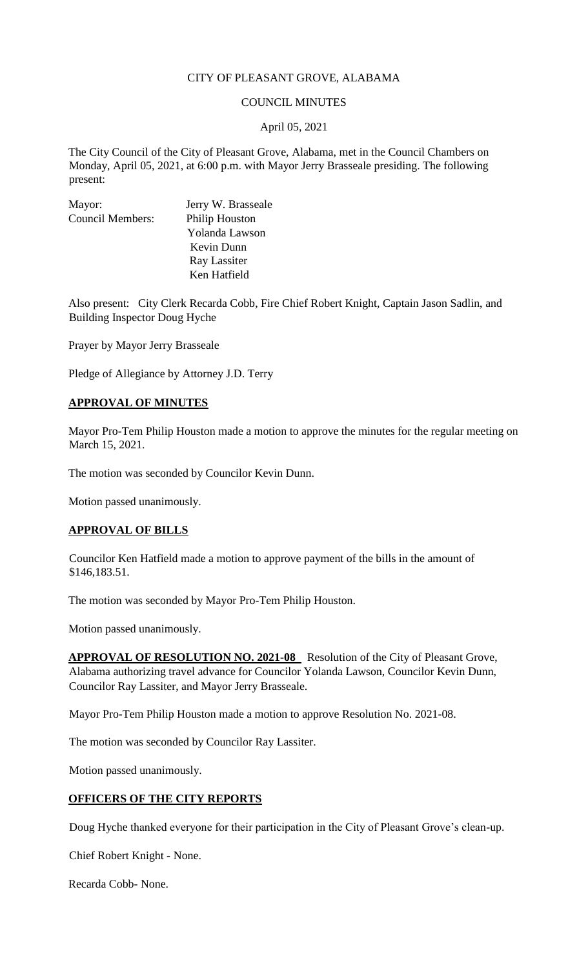### CITY OF PLEASANT GROVE, ALABAMA

### COUNCIL MINUTES

### April 05, 2021

The City Council of the City of Pleasant Grove, Alabama, met in the Council Chambers on Monday, April 05, 2021, at 6:00 p.m. with Mayor Jerry Brasseale presiding. The following present:

| Mayor:                  | Jerry W. Brasseale |
|-------------------------|--------------------|
| <b>Council Members:</b> | Philip Houston     |
|                         | Yolanda Lawson     |
|                         | Kevin Dunn         |
|                         | Ray Lassiter       |
|                         | Ken Hatfield       |

Also present: City Clerk Recarda Cobb, Fire Chief Robert Knight, Captain Jason Sadlin, and Building Inspector Doug Hyche

Prayer by Mayor Jerry Brasseale

Pledge of Allegiance by Attorney J.D. Terry

### **APPROVAL OF MINUTES**

Mayor Pro-Tem Philip Houston made a motion to approve the minutes for the regular meeting on March 15, 2021.

The motion was seconded by Councilor Kevin Dunn.

Motion passed unanimously.

### **APPROVAL OF BILLS**

Councilor Ken Hatfield made a motion to approve payment of the bills in the amount of \$146,183.51.

The motion was seconded by Mayor Pro-Tem Philip Houston.

Motion passed unanimously.

APPROVAL OF RESOLUTION NO. 2021-08 Resolution of the City of Pleasant Grove, Alabama authorizing travel advance for Councilor Yolanda Lawson, Councilor Kevin Dunn, Councilor Ray Lassiter, and Mayor Jerry Brasseale.

Mayor Pro-Tem Philip Houston made a motion to approve Resolution No. 2021-08.

The motion was seconded by Councilor Ray Lassiter.

Motion passed unanimously.

### **OFFICERS OF THE CITY REPORTS**

Doug Hyche thanked everyone for their participation in the City of Pleasant Grove's clean-up.

Chief Robert Knight - None.

Recarda Cobb- None.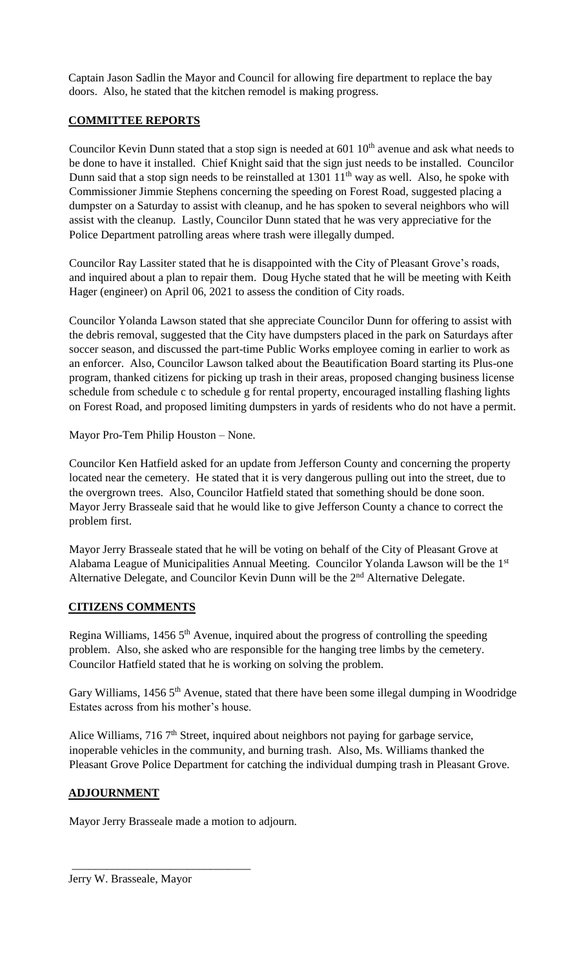Captain Jason Sadlin the Mayor and Council for allowing fire department to replace the bay doors. Also, he stated that the kitchen remodel is making progress.

# **COMMITTEE REPORTS**

Councilor Kevin Dunn stated that a stop sign is needed at  $601 \, 10^{th}$  avenue and ask what needs to be done to have it installed. Chief Knight said that the sign just needs to be installed. Councilor Dunn said that a stop sign needs to be reinstalled at  $1301 \, 11^{th}$  way as well. Also, he spoke with Commissioner Jimmie Stephens concerning the speeding on Forest Road, suggested placing a dumpster on a Saturday to assist with cleanup, and he has spoken to several neighbors who will assist with the cleanup. Lastly, Councilor Dunn stated that he was very appreciative for the Police Department patrolling areas where trash were illegally dumped.

Councilor Ray Lassiter stated that he is disappointed with the City of Pleasant Grove's roads, and inquired about a plan to repair them. Doug Hyche stated that he will be meeting with Keith Hager (engineer) on April 06, 2021 to assess the condition of City roads.

Councilor Yolanda Lawson stated that she appreciate Councilor Dunn for offering to assist with the debris removal, suggested that the City have dumpsters placed in the park on Saturdays after soccer season, and discussed the part-time Public Works employee coming in earlier to work as an enforcer. Also, Councilor Lawson talked about the Beautification Board starting its Plus-one program, thanked citizens for picking up trash in their areas, proposed changing business license schedule from schedule c to schedule g for rental property, encouraged installing flashing lights on Forest Road, and proposed limiting dumpsters in yards of residents who do not have a permit.

Mayor Pro-Tem Philip Houston – None.

Councilor Ken Hatfield asked for an update from Jefferson County and concerning the property located near the cemetery. He stated that it is very dangerous pulling out into the street, due to the overgrown trees. Also, Councilor Hatfield stated that something should be done soon. Mayor Jerry Brasseale said that he would like to give Jefferson County a chance to correct the problem first.

Mayor Jerry Brasseale stated that he will be voting on behalf of the City of Pleasant Grove at Alabama League of Municipalities Annual Meeting. Councilor Yolanda Lawson will be the 1st Alternative Delegate, and Councilor Kevin Dunn will be the  $2<sup>nd</sup>$  Alternative Delegate.

### **CITIZENS COMMENTS**

Regina Williams,  $14565<sup>th</sup>$  Avenue, inquired about the progress of controlling the speeding problem. Also, she asked who are responsible for the hanging tree limbs by the cemetery. Councilor Hatfield stated that he is working on solving the problem.

Gary Williams, 1456 5<sup>th</sup> Avenue, stated that there have been some illegal dumping in Woodridge Estates across from his mother's house.

Alice Williams,  $7167<sup>th</sup>$  Street, inquired about neighbors not paying for garbage service, inoperable vehicles in the community, and burning trash. Also, Ms. Williams thanked the Pleasant Grove Police Department for catching the individual dumping trash in Pleasant Grove.

# **ADJOURNMENT**

Mayor Jerry Brasseale made a motion to adjourn.

\_\_\_\_\_\_\_\_\_\_\_\_\_\_\_\_\_\_\_\_\_\_\_\_\_\_\_\_\_\_\_

Jerry W. Brasseale, Mayor